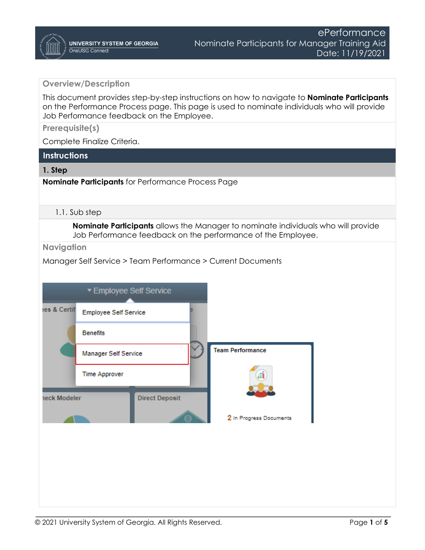### **Overview/Description**

This document provides step-by-step instructions on how to navigate to **Nominate Participants**  on the Performance Process page. This page is used to nominate individuals who will provide Job Performance feedback on the Employee.

**Prerequisite(s)**

Complete Finalize Criteria.

## **Instructions**

#### **1. Step**

**Nominate Participants** for Performance Process Page

#### 1.1. Sub step

**Nominate Participants** allows the Manager to nominate individuals who will provide Job Performance feedback on the performance of the Employee.

**Navigation**

Manager Self Service > Team Performance > Current Documents

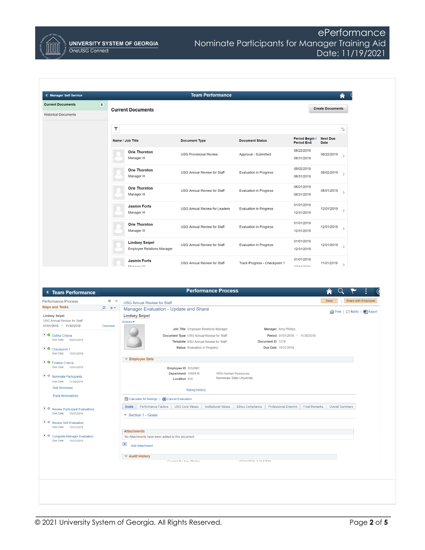

**UNIVERSITY SYSTEM OF GEORGIA** OneUSG Connect

# ePerformance Nominate Participants for Manager Training Aid Date: 11/19/2021

| < Manager Self Service                                                                             |                                                                 | <b>Team Performance</b>                                                                                            |                                         |                                     |                                |                                      |
|----------------------------------------------------------------------------------------------------|-----------------------------------------------------------------|--------------------------------------------------------------------------------------------------------------------|-----------------------------------------|-------------------------------------|--------------------------------|--------------------------------------|
| <b>Current Documents</b><br><b>Historical Documents</b>                                            | $\bullet$<br><b>Current Documents</b>                           |                                                                                                                    |                                         |                                     | <b>Create Documents</b>        |                                      |
|                                                                                                    | ۳                                                               |                                                                                                                    |                                         |                                     |                                | $\uparrow\downarrow$                 |
|                                                                                                    | Name / Job Title                                                | <b>Document Type</b>                                                                                               | <b>Document Status</b>                  | Period Begin /<br><b>Period End</b> | <b>Next Due</b><br><b>Date</b> |                                      |
|                                                                                                    | <b>Orie Thornton</b><br>Manager III                             | <b>USG Provisional Review</b>                                                                                      | Approval - Submitted                    | 08/22/2019<br>08/31/2019            | 08/22/2019                     | $\overline{\phantom{a}}$             |
|                                                                                                    | <b>Orie Thornton</b><br>Manager III                             | <b>USG Annual Review for Staff</b>                                                                                 | <b>Evaluation in Progress</b>           | 08/02/2019<br>08/31/2019            | 08/02/2019                     | $\rightarrow$                        |
|                                                                                                    | <b>Orie Thornton</b><br>Manager III                             | <b>USG Annual Review for Staff</b>                                                                                 | <b>Evaluation in Progress</b>           | 08/01/2019<br>08/31/2019            | 08/01/2019                     | $\rightarrow$                        |
|                                                                                                    | <b>Jasmin Forts</b><br>Manager III                              | <b>USG Annual Review for Leaders</b>                                                                               | <b>Evaluation in Progress</b>           | 01/01/2019<br>12/31/2019            | 12/01/2019                     | $\rightarrow$                        |
|                                                                                                    | <b>Orie Thornton</b><br>Manager III                             | <b>USG Annual Review for Staff</b>                                                                                 | <b>Evaluation in Progress</b>           | 01/01/2019<br>12/31/2019            | 12/01/2019                     | $\rightarrow$                        |
|                                                                                                    | <b>Lindsey Seipel</b><br><b>Employee Relations Manager</b>      | <b>USG Annual Review for Staff</b>                                                                                 | <b>Evaluation in Progress</b>           | 01/01/2019<br>12/31/2019            | 12/01/2019                     | $\rightarrow$                        |
|                                                                                                    | <b>Jasmin Forts</b><br>$14 - 22 - 10$                           | <b>USG Annual Review for Staff</b>                                                                                 | Track Progress - Checkpoint 1           | 01/01/2019<br><b>ADIOAIODAD</b>     | 11/01/2019                     | $\rightarrow$                        |
| <b>&lt; Team Performance</b>                                                                       |                                                                 | <b>Performance Process</b>                                                                                         |                                         |                                     | A                              |                                      |
| Performance Process                                                                                | $Q = 40$<br><b>USG Annual Review for Staff</b>                  |                                                                                                                    |                                         |                                     | Save                           | Share with Employee                  |
| <b>Steps and Tasks</b>                                                                             | $\mathbb C$<br>$\circ$<br>Manager Evaluation - Update and Share |                                                                                                                    |                                         |                                     |                                |                                      |
| <b>Lindsey Seipel</b><br>USG Annual Review for Staff<br>01/01/2019 - 11/30/2019                    | <b>Lindsey Seipel</b><br>Actions <sup>-</sup><br>Overview       | Job Title Employee Relations Manager                                                                               | Manager Amy Phillips                    |                                     |                                | <b>图 Print</b>   ■ Notify   ■ Export |
| Define Criteria<br>Due Date<br>09/01/2019<br>$\bullet$ Checkpoint 1<br>Due Date<br>10/01/2019      |                                                                 | Document Type USG Annual Review for Staff<br>Template KSU Annual Review for Staff<br>Status Evaluation in Progress | Document ID 1219<br>Due Date 10/31/2019 | Period 01/01/2019 - 11/30/2019      |                                |                                      |
| ● Finalize Criteria                                                                                | <b>Employee Data</b>                                            |                                                                                                                    |                                         |                                     |                                |                                      |
| Due Date<br>10/31/2019<br>O Nominate Participants<br>Due Date<br>11/30/2019<br><b>Add Nominees</b> |                                                                 | Employee ID 0352681<br>Department 1060416<br><b>HRS-Human Resources</b><br>Location 430                            | Kennesaw State University               |                                     |                                |                                      |

**Track Nominations** 

O O Review Participant Evaluations<br>Due Date 10/31/2019

● O Review Self Evaluation<br>Due Date 10/31/2019

O Complete Manager Evaluation<br>Due Date 10/31/2019

 $\sqrt{2}$  Audit History<br>Created By Amy Dhilling

Rating History

Calculate All Ratings | X Cancel Evaluation Goals Performance Factors USG Core Values | Institutional Values | Ethics Compliance | Professional Dvlpmnt | Final Remarks | Overall Summary Section 1 - Goals

07/94/9040 9-94-670M

Attachments

No Attachments have been added to this document

 $\overline{+}$  Add Attachment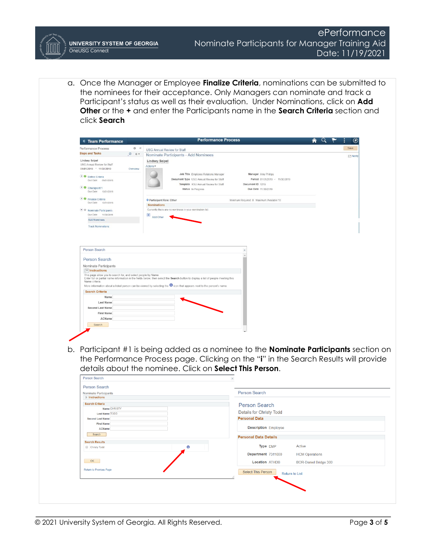a. Once the Manager or Employee **Finalize Criteria**, nominations can be submitted to the nominees for their acceptance. Only Managers can nominate and track a Participant's status as well as their evaluation. Under Nominations, click on **Add Other** or the **+** and enter the Participants name in the **Search Criteria** section and click **Search**

| Performance Process                                                                         | Save<br>0 <sub>x</sub><br><b>USG Annual Review for Staff</b>                                                                                                                                                                                                          |
|---------------------------------------------------------------------------------------------|-----------------------------------------------------------------------------------------------------------------------------------------------------------------------------------------------------------------------------------------------------------------------|
| <b>Steps and Tasks</b><br>$O$ $O$ $V$                                                       | Nominate Participants - Add Nominees<br>E <sup>*</sup> Notify                                                                                                                                                                                                         |
| <b>Lindsey Seipel</b><br>USG Annual Review for Staff<br>01/01/2019 - 11/30/2019<br>Overview | <b>Lindsey Seipel</b><br>Actions +                                                                                                                                                                                                                                    |
| Define Criteria<br>Due Date 09/01/2019                                                      | Job Title Employee Relations Manager<br>Manager Amy Phillips<br>Document Type USG Annual Review for Staff<br>Period 01/01/2019 - 11/30/2019<br>Template KSU Annual Review for Staff<br>Document ID 1219                                                               |
| • Checkpoint 1<br>Due Date 10/01/2019                                                       | Status In Progress<br>Due Date 11/30/2019                                                                                                                                                                                                                             |
| • <b>O</b> Finalize Criteria<br>Due Date 10/31/2019                                         | Participant Role: Other<br>Minimum Required: 0 Maximum Available:10                                                                                                                                                                                                   |
| • O Nominate Participants<br>Due Date 11/30/2019                                            | <b>Nominations</b><br>Currently there are no nominees in your nomination list.                                                                                                                                                                                        |
| <b>Add Nominees</b>                                                                         | $\overline{+}$ Add Other                                                                                                                                                                                                                                              |
| <b>Track Nominations</b>                                                                    |                                                                                                                                                                                                                                                                       |
|                                                                                             |                                                                                                                                                                                                                                                                       |
| <b>Person Search</b>                                                                        |                                                                                                                                                                                                                                                                       |
| Nominate Participants                                                                       |                                                                                                                                                                                                                                                                       |
| $\equiv$ Instructions                                                                       |                                                                                                                                                                                                                                                                       |
| This page allow you to search for, and select people by Name.<br>Name criteria.             | Enter full or partial name information in the fields below, then select the Search button to display a list of people meeting this<br>More information about a listed person can be viewed by selecting the <sup>1</sup> icon that appears next to the person's name. |
| <b>Search Criteria</b>                                                                      |                                                                                                                                                                                                                                                                       |
| Name                                                                                        |                                                                                                                                                                                                                                                                       |
| Last Name                                                                                   |                                                                                                                                                                                                                                                                       |
| <b>Second Last Name</b>                                                                     |                                                                                                                                                                                                                                                                       |
| <b>First Name</b>                                                                           |                                                                                                                                                                                                                                                                       |
| ACName                                                                                      |                                                                                                                                                                                                                                                                       |
| Search                                                                                      |                                                                                                                                                                                                                                                                       |
|                                                                                             |                                                                                                                                                                                                                                                                       |
|                                                                                             |                                                                                                                                                                                                                                                                       |

the Performance Process page. Clicking on the "**i**" in the Search Results will provide details about the nominee. Click on **Select This Person**.Derson Search

| Nominate Participants<br>$\blacktriangleright$ Instructions | Person Search                               |
|-------------------------------------------------------------|---------------------------------------------|
|                                                             |                                             |
| <b>Search Criteria</b>                                      | <b>Person Search</b>                        |
| Name CHRISTY                                                |                                             |
| <b>Last Name TODD</b>                                       | <b>Details for Christy Todd</b>             |
| <b>Second Last Name</b>                                     | <b>Personal Data</b>                        |
| <b>First Name</b>                                           |                                             |
| <b>ACName</b>                                               | <b>Description Employee</b>                 |
| Search                                                      | <b>Personal Data Details</b>                |
| <b>Search Results</b>                                       |                                             |
| Christy Todd                                                | Type EMP<br>Active<br>A                     |
|                                                             | Department 7311000<br><b>HCM Operations</b> |
| OK                                                          | <b>Location ATHDB</b>                       |
|                                                             | <b>BOR-Daniel Bridge 300</b>                |
| Return to Previous Page                                     | Select This Person                          |
|                                                             | Return to List                              |
|                                                             |                                             |
|                                                             |                                             |
|                                                             |                                             |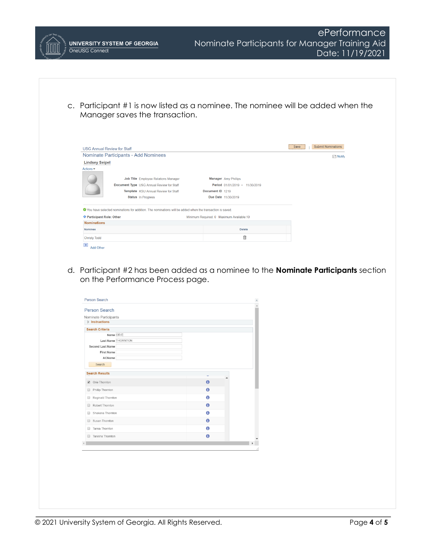ePerformance Nominate Participants for Manager Training Aid **UNIVERSITY SYSTEM OF GEORGIA** OneUSG Connect Date: 11/19/2021 c. Participant #1 is now listed as a nominee. The nominee will be added when the Manager saves the transaction. Save Submit Nominations **USG Annual Review for Staff** Nominate Participants - Add Nominees  $\equiv$  Notify **Lindsey Seipel** Actions  $\overline{\phantom{a}}$ Job Title Employee Relations Manager Manager Amy Phillips Document Type USG Annual Review for Staff Period 01/01/2019 - 11/30/2019 Template KSU Annual Review for Staff Document ID 1219 Status In Progress Due Date 11/30/2019 O You have selected nominations for addition. The nominations will be added when the transaction is saved. Participant Role: Other Minimum Required: 0 Maximum Available:10 **Nominations** Nominee **Delete**  $\widehat{\mathbb{I}}$ **Christy Todd**  $\overline{+}$  Add Other

d. Participant #2 has been added as a nominee to the **Nominate Participants** section on the Performance Process page.

|        | Person Search                      |           |  |
|--------|------------------------------------|-----------|--|
|        | Nominate Participants              |           |  |
|        | $\blacktriangleright$ Instructions |           |  |
|        | <b>Search Criteria</b>             |           |  |
|        | Name ORIE                          |           |  |
|        | Last Name THORNTON                 |           |  |
|        | Second Last Name                   |           |  |
|        | <b>First Name</b>                  |           |  |
|        | ACName                             |           |  |
|        | Search                             |           |  |
|        | <b>Search Results</b>              |           |  |
|        | Orie Thornton                      | $\theta$  |  |
| 0      | Phillip Thornton                   | $\bullet$ |  |
| 0      | Reginald Thornton                  | 0         |  |
|        | Robert Thornton                    | $\bullet$ |  |
| $\Box$ |                                    |           |  |
| 0      | Shakena Thornton                   | 0         |  |
| $\Box$ | Susan Thornton                     | $\bullet$ |  |
| ⊟      | Tamia Thornton                     | A         |  |
|        | Tanisha Thornton                   | $\bullet$ |  |